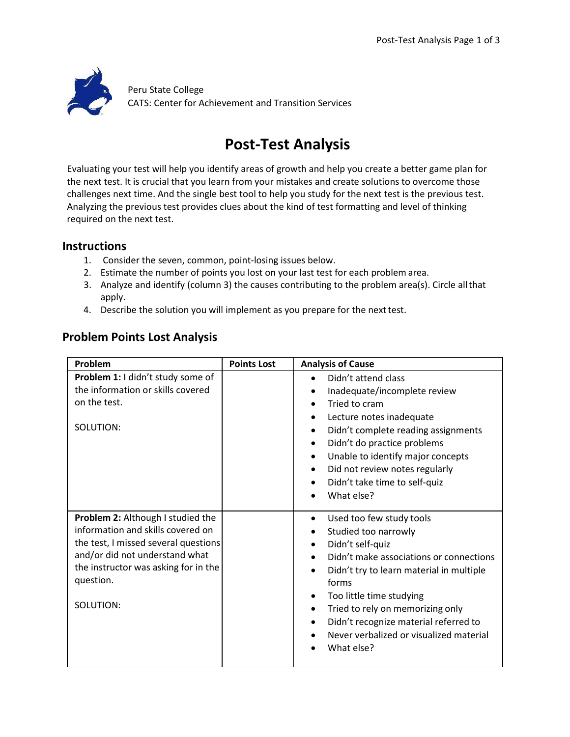

## **Post-Test Analysis**

Evaluating your test will help you identify areas of growth and help you create a better game plan for the next test. It is crucial that you learn from your mistakes and create solutions to overcome those challenges next time. And the single best tool to help you study for the next test is the previous test. Analyzing the previous test provides clues about the kind of test formatting and level of thinking required on the next test.

## **Instructions**

- 1. Consider the seven, common, point-losing issues below.
- 2. Estimate the number of points you lost on your last test for each problem area.
- 3. Analyze and identify (column 3) the causes contributing to the problem area(s). Circle allthat apply.
- 4. Describe the solution you will implement as you prepare for the next test.

## **Problem Points Lost Analysis**

| Problem                                                                                                                                                                                                            | <b>Points Lost</b> | <b>Analysis of Cause</b>                                                                                                                                                                                                                                                                                                                                                                                                       |
|--------------------------------------------------------------------------------------------------------------------------------------------------------------------------------------------------------------------|--------------------|--------------------------------------------------------------------------------------------------------------------------------------------------------------------------------------------------------------------------------------------------------------------------------------------------------------------------------------------------------------------------------------------------------------------------------|
| Problem 1: I didn't study some of<br>the information or skills covered<br>on the test.<br>SOLUTION:                                                                                                                |                    | Didn't attend class<br>$\bullet$<br>Inadequate/incomplete review<br>Tried to cram<br>Lecture notes inadequate<br>$\bullet$<br>Didn't complete reading assignments<br>$\bullet$<br>Didn't do practice problems<br>$\bullet$<br>Unable to identify major concepts<br>$\bullet$<br>Did not review notes regularly<br>$\bullet$<br>Didn't take time to self-quiz<br>$\bullet$<br>What else?<br>$\bullet$                           |
| Problem 2: Although I studied the<br>information and skills covered on<br>the test, I missed several questions<br>and/or did not understand what<br>the instructor was asking for in the<br>question.<br>SOLUTION: |                    | Used too few study tools<br>$\bullet$<br>Studied too narrowly<br>٠<br>Didn't self-quiz<br>$\bullet$<br>Didn't make associations or connections<br>$\bullet$<br>Didn't try to learn material in multiple<br>$\bullet$<br>forms<br>Too little time studying<br>٠<br>Tried to rely on memorizing only<br>$\bullet$<br>Didn't recognize material referred to<br>$\bullet$<br>Never verbalized or visualized material<br>What else? |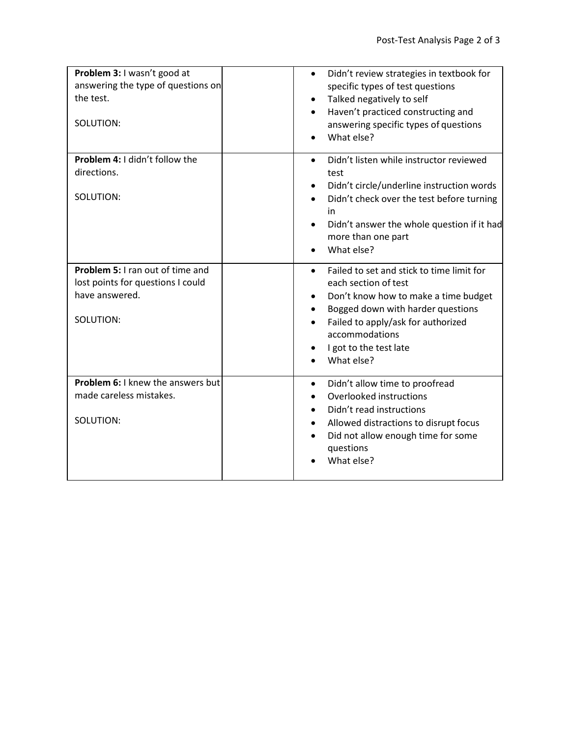| Problem 3: I wasn't good at<br>answering the type of questions on<br>the test.<br>SOLUTION:          | Didn't review strategies in textbook for<br>$\bullet$<br>specific types of test questions<br>Talked negatively to self<br>Haven't practiced constructing and<br>answering specific types of questions<br>What else?                                          |
|------------------------------------------------------------------------------------------------------|--------------------------------------------------------------------------------------------------------------------------------------------------------------------------------------------------------------------------------------------------------------|
| Problem 4: I didn't follow the<br>directions.<br>SOLUTION:                                           | Didn't listen while instructor reviewed<br>$\bullet$<br>test<br>Didn't circle/underline instruction words<br>Didn't check over the test before turning<br>in.<br>Didn't answer the whole question if it had<br>more than one part<br>What else?<br>$\bullet$ |
| Problem 5: I ran out of time and<br>lost points for questions I could<br>have answered.<br>SOLUTION: | Failed to set and stick to time limit for<br>each section of test<br>Don't know how to make a time budget<br>Bogged down with harder questions<br>Failed to apply/ask for authorized<br>$\bullet$<br>accommodations<br>I got to the test late<br>What else?  |
| Problem 6: I knew the answers but<br>made careless mistakes.<br>SOLUTION:                            | Didn't allow time to proofread<br>$\bullet$<br>Overlooked instructions<br>Didn't read instructions<br>Allowed distractions to disrupt focus<br>Did not allow enough time for some<br>questions<br>What else?                                                 |